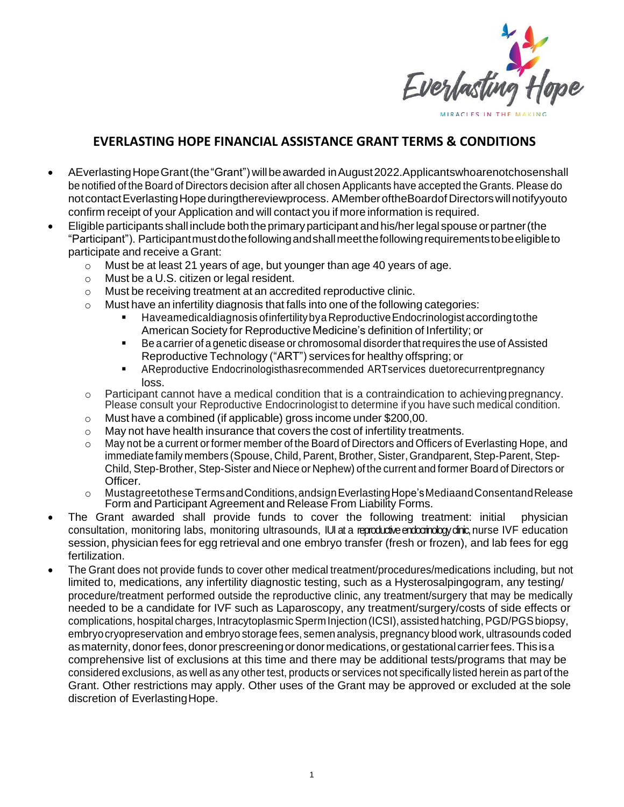

## **EVERLASTING HOPE FINANCIAL ASSISTANCE GRANT TERMS & CONDITIONS**

- AEverlastingHopeGrant(the"Grant") willbeawarded inAugust2022.Applicantswhoarenotchosenshall be notified of the Board of Directors decision after all chosen Applicants have accepted the Grants. Please do not contact Everlasting Hope duringthereviewprocess. AMember of the Boardof Directors will notifyyouto confirm receipt of your Application and will contact you if more information is required.
- Eligible participants shall include boththeprimaryparticipant and his/herlegal spouse orpartner(the "Participant"). Participantmustdothefollowingandshallmeetthefollowingrequirementstobeeligibleto participate and receive a Grant:
	- o Must be at least 21 years of age, but younger than age 40 years of age.
	- o Must be a U.S. citizen or legal resident.
	- o Must be receiving treatment at an accredited reproductive clinic.
	- $\circ$  Must have an infertility diagnosis that falls into one of the following categories:
		- Haveamedicaldiagnosis of infertility by a Reproductive Endocrinologist according to the American Society for Reproductive Medicine's definition of Infertility; or
		- Be a carrier of a genetic disease or chromosomal disorder that requires the use of Assisted Reproductive Technology ("ART") services for healthy offspring; or
		- AReproductive Endocrinologisthasrecommended ARTservices duetorecurrentpregnancy loss.
	- o Participant cannot have a medical condition that is a contraindication to achievingpregnancy. Please consult your Reproductive Endocrinologist to determine if you have such medical condition.
	- o Must have a combined (if applicable) gross income under \$200,00.
	- o May not have health insurance that covers the cost of infertility treatments.
	- $\circ$  May not be a current or former member of the Board of Directors and Officers of Everlasting Hope, and immediatefamily members (Spouse, Child, Parent, Brother, Sister, Grandparent, Step-Parent, Step-Child, Step-Brother, Step-Sister and Niece or Nephew) of the current and former Board of Directors or Officer.
	- o MustagreetotheseTermsandConditions,andsignEverlastingHope'sMediaandConsentandRelease Form and Participant Agreement and Release From Liability Forms.
- The Grant awarded shall provide funds to cover the following treatment: initial physician consultation, monitoring labs, monitoring ultrasounds, IUI at a reproductive endocrinology clinic, nurse IVF education session, physician fees for egg retrieval and one embryo transfer (fresh or frozen), and lab fees for egg fertilization.
- The Grant does not provide funds to cover other medical treatment/procedures/medications including, but not limited to, medications, any infertility diagnostic testing, such as a Hysterosalpingogram, any testing/ procedure/treatment performed outside the reproductive clinic, any treatment/surgery that may be medically needed to be a candidate for IVF such as Laparoscopy, any treatment/surgery/costs of side effects or complications, hospital charges, Intracytoplasmic Sperm Injection (ICSI), assisted hatching, PGD/PGS biopsy, embryocryopreservation and embryo storage fees, semen analysis, pregnancy blood work, ultrasounds coded as maternity, donor fees, donor prescreening or donor medications, or gestational carrier fees. This is a comprehensive list of exclusions at this time and there may be additional tests/programs that may be considered exclusions, as well as any other test, products or services not specifically listed herein as part of the Grant. Other restrictions may apply. Other uses of the Grant may be approved or excluded at the sole discretion of EverlastingHope.